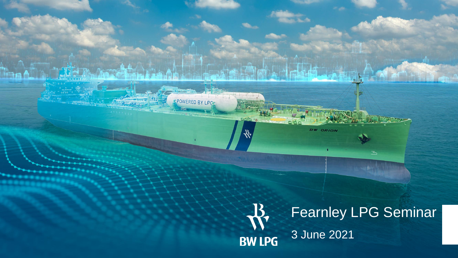

 $\geq$ 

POWERED BY LPC.

DOCT 10

 $\Omega$ io

BW ORION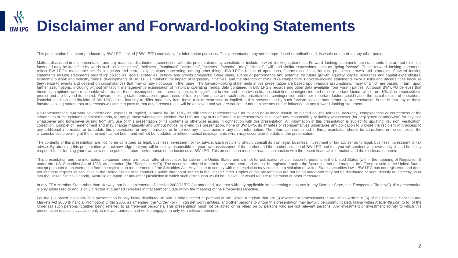## **Disclaimer and Forward-looking Statements**

This presentation has been produced by BW LPG Limited ("BW LPG") exclusively for information purposes. This presentation may not be reproduced or redistributed, in whole or in part, to any other person.

Matters discussed in this presentation and any materials distributed in connection with this presentation may constitute or include forward-looking statements. Forward-looking statements are statements that are not histori facts and may be identified by words such as "anticipates", "believes", "continues", "estimates", "expects", "intends", "may", "should", "will" and similar expressions, such as "going forward". These forward-looking statem reflect BW LPG's reasonable beliefs, intentions and current expectations concerning, among other things, BW LPG's results of operations, financial condition, liquidity, prospects, growth and strategies. Forward–looking statements include statements regarding: objectives, goals, strategies, outlook and growth prospects; future plans, events or performance and potential for future growth; liquidity, capital resources and capital expenditur economic outlook and industry trends; developments of BW LPG's markets; the impact of regulatory initiatives; and the strength of BW LPG's competitors. Forward–looking statements involve risks and uncertainties because they relate to events and depend on circumstances that may or may not occur in the future. The forward–looking statements in this presentation are based upon various assumptions, many of which are based, in turn, upon further assumptions, including without limitation, management's examination of historical operating trends, data contained in BW LPG's records and other data available from Fourth parties. Although BW LPG believes that these assumptions were reasonable when made, these assumptions are inherently subject to significant known and unknown risks, uncertainties, contingencies and other important factors which are difficult or impossible to predict and are beyond its control. Forward–looking statements are not guarantees of future performance and such risks, uncertainties, contingencies and other important factors could cause the actual results of operations, financial condition and liquidity of BW LPG or the industry to differ materially from those results expressed or implied in this presentation by such forward–looking statements. No representation is made that any of these forward–looking statements or forecasts will come to pass or that any forecast result will be achieved and you are cautioned not to place any undue influence on any forward–looking statement.

No representation, warranty or undertaking, express or implied, is made by BW LPG, its affiliates or representatives as to, and no reliance should be placed on, the fairness, accuracy, completeness or correctness of the information or the opinions contained herein, for any purpose whatsoever. Neither BW LPG nor any of its affiliates or representatives shall have any responsibility or liability whatsoever (for negligence or otherwise) for whatsoever and howsoever arising from any use of this presentation or its contents or otherwise arising in connection with this presentation. All information in this presentation is subject to updating, revision, verificat correction, completion, amendment and may change materially and without notice. In giving this presentation, none of BW LPG, its affiliates or representatives undertakes any obligation to provide the recipient with access to any additional information or to update this presentation or any information or to correct any inaccuracies in any such information. The information contained in this presentation should be considered in the context of the circumstances prevailing at the time and has not been, and will not be, updated to reflect material developments which may occur after the date of the presentation.

The contents of this presentation are not to be construed as legal, business, investment or tax advice. Each recipient should consult its own legal, business, investment or tax adviser as to legal, business, investment or advice. By attending this presentation you acknowledge that you will be solely responsible for your own assessment of the market and the market position of BW LPG and that you will conduct your own analysis and be solely responsible for forming your own view on the potential future performance of the business of BW LPG. This presentation must be read in conjunction with the recent financial information and the disclosures therein.

This presentation and the information contained herein are not an offer of securities for sale in the United States and are not for publication or distribution to persons in the United States (within the meaning of Regulat under the U.S. Securities Act of 1933, as amended (the "Securities Act")). The securities referred to herein have not been and will not be registered under the Securities Act and may not be offered or sold in the United St except pursuant to an exemption from the registration requirements of the Securities Act. Any failure to comply with this restriction may constitute a violation of United States securities laws. BW LPG has not registered a not intend to register its securities in the United States or to conduct a public offering of shares in the United States. Copies of this presentation are not being made and may not be distributed or sent, directly or indi into the United States, Canada, Australia or Japan, or any other jurisdiction in which such distribution would be unlawful or would require registration or other measures.

In any EEA Member State other than Norway that has implemented Directive 2003/71/EC (as amended, together with any applicable implementing measures in any Member State, the "Prospectus Directive"), this presentation is only addressed to and is only directed at qualified investors in that Member State within the meaning of the Prospectus Directive.

For the UK based investors–This presentation is only being distributed to and is only directed at persons in the United Kingdom that are (i) investment professionals falling within Article 19(5) of the Financial Services and Markets Act 2000 (Financial Promotion) Order 2005, as amended (the "Order") or (ii) high net worth entities, and other persons to whom this presentation may lawfully be communicated, falling within Article 49(2)(a) to (d) Order (all such persons together being referred to as "relevant persons"). This presentation must not be acted on or relied on by persons who are not relevant persons. Any investment or investment activity to which this presentation relates is available only to relevant persons and will be engaged in only with relevant persons.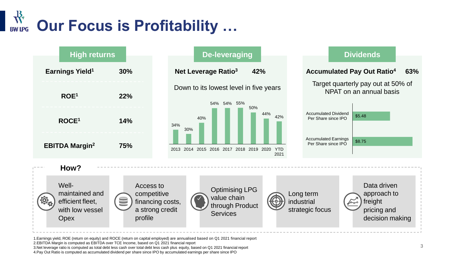## **Our Focus is Profitability … BW LPG**



1.Earnings yield, ROE (return on equity) and ROCE (return on capital employed) are annualised based on Q1 2021 financial report

2.EBITDA Margin is computed as EBITDA over TCE Income, based on Q1 2021 financial report

3.Net leverage ratio is computed as total debt less cash over total debt less cash plus equity, based on Q1 2021 financial report

4.Pay Out Ratio is computed as accumulated dividend per share since IPO by accumulated earnings per share since IPO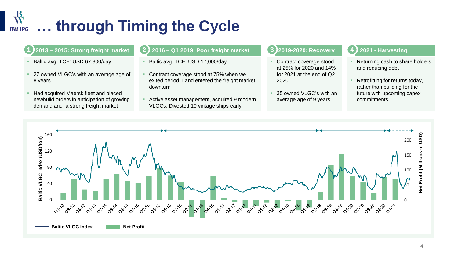#### ╬ **… through Timing the Cycle BW LPG**

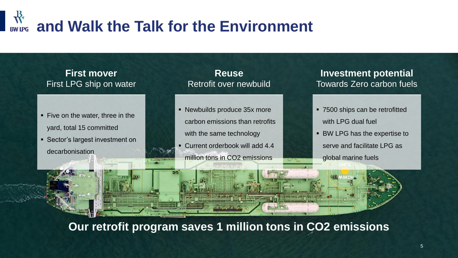## **and Walk the Talk for the Environment RW IPG**

### **First mover**  First LPG ship on water

- Five on the water, three in the yard, total 15 committed
- Sector's largest investment on

decarbonisation

**Reuse** Retrofit over newbuild

- Newbuilds produce 35x more carbon emissions than retrofits with the same technology
- Current orderbook will add 4.4 million tons in CO2 emissions

**Investment potential**  Towards Zero carbon fuels

- 7500 ships can be retrofitted with LPG dual fuel
- BW LPG has the expertise to serve and facilitate LPG as

global marine fuels

**Our retrofit program saves 1 million tons in CO2 emissions**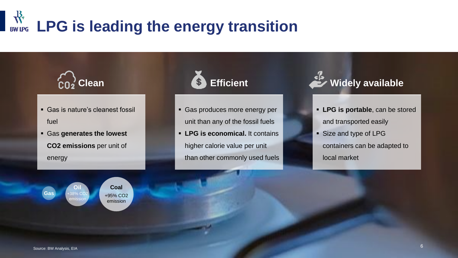# **LPG** is leading the energy transition



- Gas is nature's cleanest fossil fuel
- Gas **generates the lowest CO2 emissions** per unit of energy

**Coal** +95% CO2 emission

**Oil**  $-38%$  CO emission

## **Efficient**

- **Gas produces more energy per** unit than any of the fossil fuels
- **LPG is economical.** It contains higher calorie value per unit than other commonly used fuels



- **LPG is portable**, can be stored and transported easily
- Size and type of LPG containers can be adapted to local market

**Gas**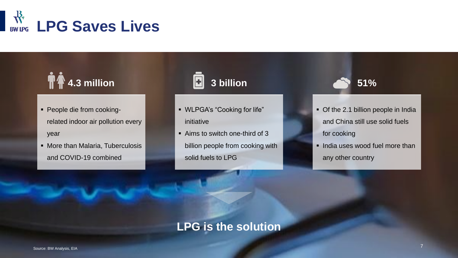

## **4.3 million**

- People die from cookingrelated indoor air pollution every year
- More than Malaria, Tuberculosis and COVID-19 combined

## **3 billion**

- WLPGA's "Cooking for life" initiative
- Aims to switch one-third of 3 billion people from cooking with solid fuels to LPG

**51%**

- Of the 2.1 billion people in India and China still use solid fuels for cooking
- **.** India uses wood fuel more than any other country

### **LPG is the solution**